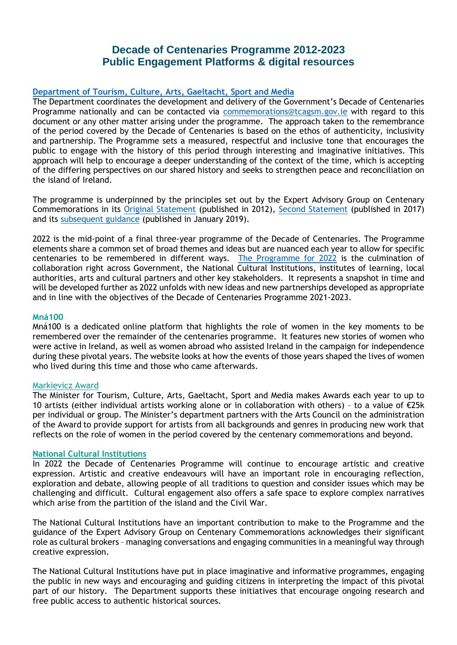# **Decade of Centenaries Programme 2012-2023 Public Engagement Platforms & digital resources**

# **[Department of Tourism, Culture, Arts, Gaeltacht, Sport and Media](https://www.gov.ie/en/organisation/department-of-tourism-culture-arts-gaeltacht-sport-and-media/)**

The Department coordinates the development and delivery of the Government's Decade of Centenaries Programme nationally and can be contacted via [commemorations@tcagsm.gov.ie](mailto:commemorations@tcagsm.gov.ie) with regard to this document or any other matter arising under the programme. The approach taken to the remembrance of the period covered by the Decade of Centenaries is based on the ethos of authenticity, inclusivity and partnership. The Programme sets a measured, respectful and inclusive tone that encourages the public to engage with the history of this period through interesting and imaginative initiatives. This approach will help to encourage a deeper understanding of the context of the time, which is accepting of the differing perspectives on our shared history and seeks to strengthen peace and reconciliation on the island of Ireland.

The programme is underpinned by the principles set out by the Expert Advisory Group on Centenary Commemorations in its [Original Statement](https://www.gov.ie/pdf/?file=https://assets.gov.ie/86207/ad312a44-076f-4342-a387-7cb67046b77e.pdf#page=null) (published in 2012), [Second Statement](https://www.gov.ie/pdf/?file=https://assets.gov.ie/86208/7fa8e688-bb68-45a4-ab25-cd7fa6c81e26.pdf#page=null) (published in 2017) and its [subsequent guidance](https://www.gov.ie/pdf/?file=https://assets.gov.ie/86209/b17dd012-0caa-4cf2-b2d7-c54a1587de5d.pdf#page=null) (published in January 2019).

2022 is the mid-point of a final three-year programme of the Decade of Centenaries. The Programme elements share a common set of broad themes and ideas but are nuanced each year to allow for specific centenaries to be remembered in different ways. [The Programme for 2022](https://www.gov.ie/en/publication/121ea-decade-of-centenaries-programme/) is the culmination of collaboration right across Government, the National Cultural Institutions, institutes of learning, local authorities, arts and cultural partners and other key stakeholders. It represents a snapshot in time and will be developed further as 2022 unfolds with new ideas and new partnerships developed as appropriate and in line with the objectives of the Decade of Centenaries Programme 2021-2023.

## **[Mná100](http://www.mna100.ie/)**

Mná100 is a dedicated online platform that highlights the role of women in the key moments to be remembered over the remainder of the centenaries programme. It features new stories of women who were active in Ireland, as well as women abroad who assisted Ireland in the campaign for independence during these pivotal years. The website looks at how the events of those years shaped the lives of women who lived during this time and those who came afterwards.

# [Markievicz Award](https://www.gov.ie/en/press-release/6ab14-decade-of-centenaries-minister-martin-announces-opening-of-markievicz-award-for-2022/)

The Minister for Tourism, Culture, Arts, Gaeltacht, Sport and Media makes Awards each year to up to 10 artists (either individual artists working alone or in collaboration with others) – to a value of €25k per individual or group. The Minister's department partners with the Arts Council on the administration of the Award to provide support for artists from all backgrounds and genres in producing new work that reflects on the role of women in the period covered by the centenary commemorations and beyond.

# **[National Cultural Institutions](https://www.gov.ie/en/publication/03d30-cultural-institutions/)**

In 2022 the Decade of Centenaries Programme will continue to encourage artistic and creative expression. Artistic and creative endeavours will have an important role in encouraging reflection, exploration and debate, allowing people of all traditions to question and consider issues which may be challenging and difficult. Cultural engagement also offers a safe space to explore complex narratives which arise from the partition of the island and the Civil War.

The National Cultural Institutions have an important contribution to make to the Programme and the guidance of the Expert Advisory Group on Centenary Commemorations acknowledges their significant role as cultural brokers – managing conversations and engaging communities in a meaningful way through creative expression.

The National Cultural Institutions have put in place imaginative and informative programmes, engaging the public in new ways and encouraging and guiding citizens in interpreting the impact of this pivotal part of our history. The Department supports these initiatives that encourage ongoing research and free public access to authentic historical sources.